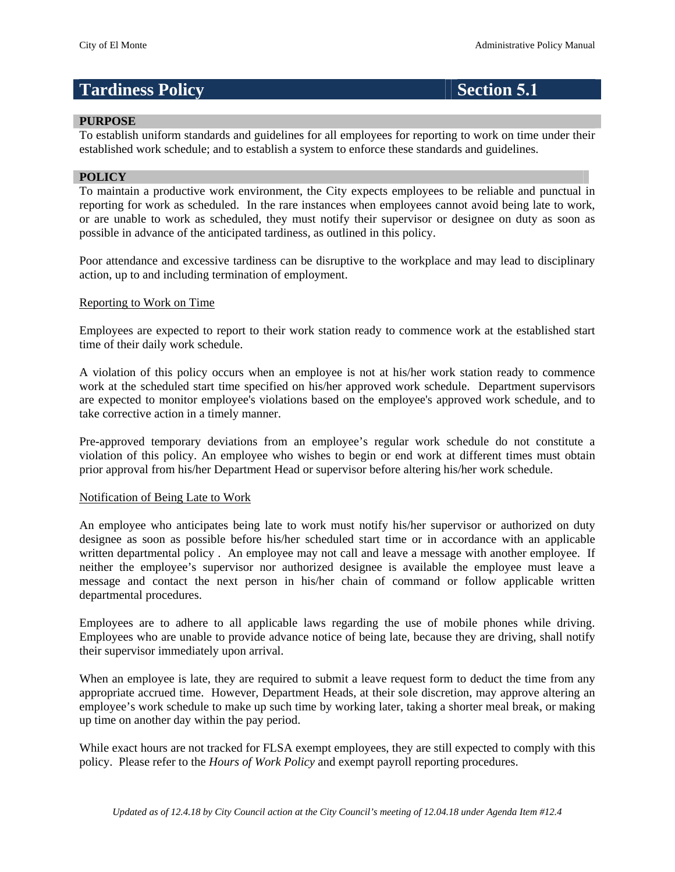# **Tardiness Policy** *Section* **5.1**

## **PURPOSE**

To establish uniform standards and guidelines for all employees for reporting to work on time under their established work schedule; and to establish a system to enforce these standards and guidelines.

#### **POLICY**

To maintain a productive work environment, the City expects employees to be reliable and punctual in reporting for work as scheduled. In the rare instances when employees cannot avoid being late to work, or are unable to work as scheduled, they must notify their supervisor or designee on duty as soon as possible in advance of the anticipated tardiness, as outlined in this policy.

Poor attendance and excessive tardiness can be disruptive to the workplace and may lead to disciplinary action, up to and including termination of employment.

#### Reporting to Work on Time

Employees are expected to report to their work station ready to commence work at the established start time of their daily work schedule.

A violation of this policy occurs when an employee is not at his/her work station ready to commence work at the scheduled start time specified on his/her approved work schedule. Department supervisors are expected to monitor employee's violations based on the employee's approved work schedule, and to take corrective action in a timely manner.

Pre-approved temporary deviations from an employee's regular work schedule do not constitute a violation of this policy. An employee who wishes to begin or end work at different times must obtain prior approval from his/her Department Head or supervisor before altering his/her work schedule.

#### Notification of Being Late to Work

An employee who anticipates being late to work must notify his/her supervisor or authorized on duty designee as soon as possible before his/her scheduled start time or in accordance with an applicable written departmental policy. An employee may not call and leave a message with another employee. If neither the employee's supervisor nor authorized designee is available the employee must leave a message and contact the next person in his/her chain of command or follow applicable written departmental procedures.

Employees are to adhere to all applicable laws regarding the use of mobile phones while driving. Employees who are unable to provide advance notice of being late, because they are driving, shall notify their supervisor immediately upon arrival.

When an employee is late, they are required to submit a leave request form to deduct the time from any appropriate accrued time. However, Department Heads, at their sole discretion, may approve altering an employee's work schedule to make up such time by working later, taking a shorter meal break, or making up time on another day within the pay period.

While exact hours are not tracked for FLSA exempt employees, they are still expected to comply with this policy. Please refer to the *Hours of Work Policy* and exempt payroll reporting procedures.